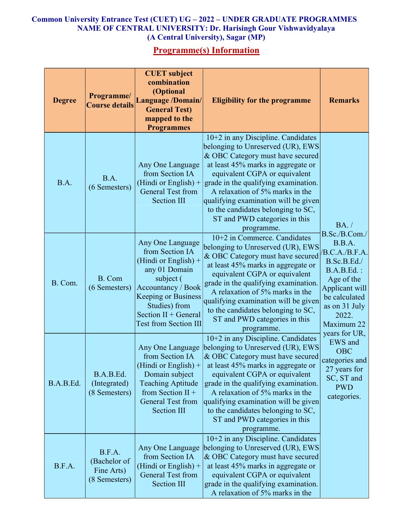## Common University Entrance Test (CUET) UG – 2022 – UNDER GRADUATE PROGRAMMES NAME OF CENTRAL UNIVERSITY: Dr. Harisingh Gour Vishwavidyalaya (A Central University), Sagar (MP)

## Programme(s) Information

| <b>Degree</b> | Programme/<br><b>Course details</b>                   | <b>CUET</b> subject<br>combination<br>(Optional<br><b>Language /Domain/</b><br><b>General Test)</b><br>mapped to the<br><b>Programmes</b>                                                                                | <b>Eligibility for the programme</b>                                                                                                                                                                                                                                                                                                                                                                          | <b>Remarks</b>                                                                                                                                                                                                                                                                                         |
|---------------|-------------------------------------------------------|--------------------------------------------------------------------------------------------------------------------------------------------------------------------------------------------------------------------------|---------------------------------------------------------------------------------------------------------------------------------------------------------------------------------------------------------------------------------------------------------------------------------------------------------------------------------------------------------------------------------------------------------------|--------------------------------------------------------------------------------------------------------------------------------------------------------------------------------------------------------------------------------------------------------------------------------------------------------|
| B.A.          | B.A.<br>(6 Semesters)                                 | Any One Language<br>from Section IA<br>(Hindi or English) $+$<br><b>General Test from</b><br>Section III                                                                                                                 | $10+2$ in any Discipline. Candidates<br>belonging to Unreserved (UR), EWS<br>& OBC Category must have secured<br>at least 45% marks in aggregate or<br>equivalent CGPA or equivalent<br>grade in the qualifying examination.<br>A relaxation of 5% marks in the<br>qualifying examination will be given<br>to the candidates belonging to SC,<br>ST and PWD categories in this<br>programme.                  | BA. /<br>B.Sc./B.Com./<br>B.B.A.<br>/B.C.A./B.F.A.<br>B.Sc.B.Ed./<br><b>B.A.B.Ed.:</b><br>Age of the<br>Applicant will<br>be calculated<br>as on 31 July<br>2022.<br>Maximum 22<br>years for UR,<br>EWS and<br><b>OBC</b><br>categories and<br>27 years for<br>SC, ST and<br><b>PWD</b><br>categories. |
| B. Com.       | B. Com<br>(6 Semesters)                               | Any One Language<br>from Section IA<br>(Hindi or English) $+$<br>any 01 Domain<br>subject (<br>Accountancy / Book<br><b>Keeping or Business</b><br>Studies) from<br>Section II + General<br><b>Test from Section III</b> | $10+2$ in Commerce. Candidates<br>belonging to Unreserved (UR), EWS<br>& OBC Category must have secured<br>at least 45% marks in aggregate or<br>equivalent CGPA or equivalent<br>grade in the qualifying examination.<br>A relaxation of 5% marks in the<br>qualifying examination will be given<br>to the candidates belonging to SC,<br>ST and PWD categories in this<br>programme.                        |                                                                                                                                                                                                                                                                                                        |
| B.A.B.Ed.     | B.A.B.Ed.<br>(Integrated)<br>(8 Semesters)            | from Section IA<br>(Hindi or English) $+$<br>Domain subject<br><b>Teaching Aptitude</b><br>from Section II +<br><b>General Test from</b><br><b>Section III</b>                                                           | $10+2$ in any Discipline. Candidates<br>Any One Language belonging to Unreserved (UR), EWS<br>& OBC Category must have secured<br>at least 45% marks in aggregate or<br>equivalent CGPA or equivalent<br>grade in the qualifying examination.<br>A relaxation of 5% marks in the<br>qualifying examination will be given<br>to the candidates belonging to SC,<br>ST and PWD categories in this<br>programme. |                                                                                                                                                                                                                                                                                                        |
| B.F.A.        | B.F.A.<br>(Bachelor of<br>Fine Arts)<br>(8 Semesters) | Any One Language<br>from Section IA<br>(Hindi or English) $+$<br><b>General Test from</b><br>Section III                                                                                                                 | $10+2$ in any Discipline. Candidates<br>belonging to Unreserved (UR), EWS<br>& OBC Category must have secured<br>at least 45% marks in aggregate or<br>equivalent CGPA or equivalent<br>grade in the qualifying examination.<br>A relaxation of 5% marks in the                                                                                                                                               |                                                                                                                                                                                                                                                                                                        |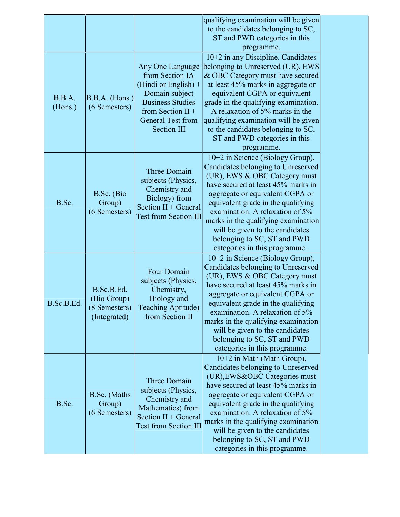|                   |                                                            |                                                                                                                                                                                   | qualifying examination will be given<br>to the candidates belonging to SC,<br>ST and PWD categories in this<br>programme.                                                                                                                                                                                                                                                                             |  |
|-------------------|------------------------------------------------------------|-----------------------------------------------------------------------------------------------------------------------------------------------------------------------------------|-------------------------------------------------------------------------------------------------------------------------------------------------------------------------------------------------------------------------------------------------------------------------------------------------------------------------------------------------------------------------------------------------------|--|
| B.B.A.<br>(Hons.) | B.B.A. (Hons.)<br>(6 Semesters)                            | Any One Language<br>from Section IA<br>(Hindi or English) +<br>Domain subject<br><b>Business Studies</b><br>from Section $II +$<br><b>General Test from</b><br><b>Section III</b> | $10+2$ in any Discipline. Candidates<br>belonging to Unreserved (UR), EWS<br>& OBC Category must have secured<br>at least 45% marks in aggregate or<br>equivalent CGPA or equivalent<br>grade in the qualifying examination.<br>A relaxation of 5% marks in the<br>qualifying examination will be given<br>to the candidates belonging to SC,<br>ST and PWD categories in this<br>programme.          |  |
| B.Sc.             | B.Sc. (Bio<br>Group)<br>(6 Semesters)                      | <b>Three Domain</b><br>subjects (Physics,<br>Chemistry and<br>Biology) from<br>Section II + General<br><b>Test from Section III</b>                                               | $10+2$ in Science (Biology Group),<br>Candidates belonging to Unreserved<br>(UR), EWS & OBC Category must<br>have secured at least 45% marks in<br>aggregate or equivalent CGPA or<br>equivalent grade in the qualifying<br>examination. A relaxation of 5%<br>marks in the qualifying examination<br>will be given to the candidates<br>belonging to SC, ST and PWD<br>categories in this programme  |  |
| B.Sc.B.Ed.        | B.Sc.B.Ed.<br>(Bio Group)<br>(8 Semesters)<br>(Integrated) | Four Domain<br>subjects (Physics,<br>Chemistry,<br>Biology and<br>Teaching Aptitude)<br>from Section II                                                                           | $10+2$ in Science (Biology Group),<br>Candidates belonging to Unreserved<br>(UR), EWS & OBC Category must<br>have secured at least 45% marks in<br>aggregate or equivalent CGPA or<br>equivalent grade in the qualifying<br>examination. A relaxation of 5%<br>marks in the qualifying examination<br>will be given to the candidates<br>belonging to SC, ST and PWD<br>categories in this programme. |  |
| B.Sc.             | B.Sc. (Maths<br>Group)<br>(6 Semesters)                    | <b>Three Domain</b><br>subjects (Physics,<br>Chemistry and<br>Mathematics) from<br>Section II + General<br><b>Test from Section III</b>                                           | 10+2 in Math (Math Group),<br>Candidates belonging to Unreserved<br>(UR), EWS&OBC Categories must<br>have secured at least 45% marks in<br>aggregate or equivalent CGPA or<br>equivalent grade in the qualifying<br>examination. A relaxation of 5%<br>marks in the qualifying examination<br>will be given to the candidates<br>belonging to SC, ST and PWD<br>categories in this programme.         |  |